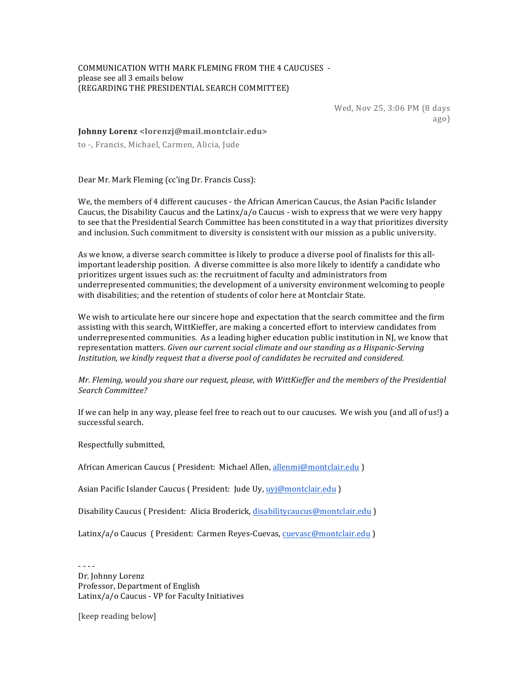## COMMUNICATION WITH MARK FLEMING FROM THE 4 CAUCUSES please see all 3 emails below (REGARDING THE PRESIDENTIAL SEARCH COMMITTEE)

Wed, Nov 25, 3:06 PM (8 days ago)

## **Johnny Lorenz <lorenzj@mail.montclair.edu>**

to -, Francis, Michael, Carmen, Alicia, Jude

Dear Mr. Mark Fleming (cc'ing Dr. Francis Cuss):

We, the members of 4 different caucuses - the African American Caucus, the Asian Pacific Islander Caucus, the Disability Caucus and the Latinx/a/o Caucus - wish to express that we were very happy to see that the Presidential Search Committee has been constituted in a way that prioritizes diversity and inclusion. Such commitment to diversity is consistent with our mission as a public university.

As we know, a diverse search committee is likely to produce a diverse pool of finalists for this allimportant leadership position. A diverse committee is also more likely to identify a candidate who prioritizes urgent issues such as: the recruitment of faculty and administrators from underrepresented communities; the development of a university environment welcoming to people with disabilities; and the retention of students of color here at Montclair State.

We wish to articulate here our sincere hope and expectation that the search committee and the firm assisting with this search, WittKieffer, are making a concerted effort to interview candidates from underrepresented communities. As a leading higher education public institution in NJ, we know that representation matters. *Given our current social climate and our standing as a Hispanic-Serving* Institution, we kindly request that a diverse pool of candidates be recruited and considered.

## *Mr. Fleming, would you share our request, please, with WittKieffer and the members of the Presidential Search Committee?*

If we can help in any way, please feel free to reach out to our caucuses. We wish you (and all of us!) a successful search.

Respectfully submitted,

African American Caucus ( President: Michael Allen, allenmi@montclair.edu )

Asian Pacific Islander Caucus ( President: Jude Uy, uyj@montclair.edu )

Disability Caucus ( President: Alicia Broderick, disabilitycaucus@montclair.edu )

Latinx/a/o Caucus ( President: Carmen Reves-Cuevas, cuevasc@montclair.edu )

- - - - Dr. Johnny Lorenz Professor, Department of English Latinx/a/o Caucus - VP for Faculty Initiatives

[keep reading below]